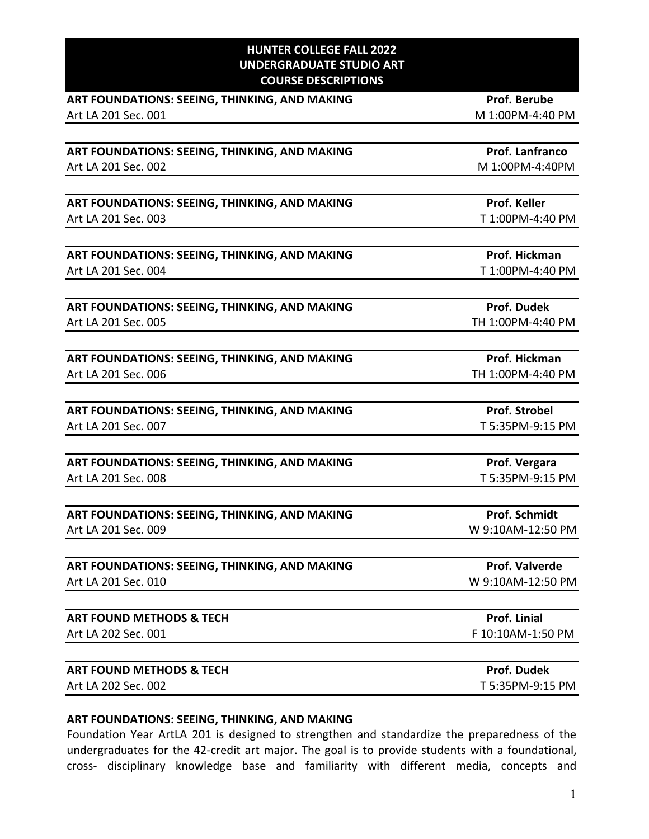#### **HUNTER COLLEGE FALL 2022 UNDERGRADUATE STUDIO ART COURSE DESCRIPTIONS**

| ART FOUNDATIONS: SEEING, THINKING, AND MAKING                        | <b>Prof. Berube</b>   |
|----------------------------------------------------------------------|-----------------------|
| Art LA 201 Sec. 001                                                  | M 1:00PM-4:40 PM      |
|                                                                      |                       |
| ART FOUNDATIONS: SEEING, THINKING, AND MAKING                        | Prof. Lanfranco       |
| Art LA 201 Sec. 002                                                  | M 1:00PM-4:40PM       |
|                                                                      |                       |
| ART FOUNDATIONS: SEEING, THINKING, AND MAKING                        | Prof. Keller          |
| Art LA 201 Sec. 003                                                  | T 1:00PM-4:40 PM      |
| ART FOUNDATIONS: SEEING, THINKING, AND MAKING                        | Prof. Hickman         |
| Art LA 201 Sec. 004                                                  | T 1:00PM-4:40 PM      |
|                                                                      |                       |
| ART FOUNDATIONS: SEEING, THINKING, AND MAKING                        | <b>Prof. Dudek</b>    |
| Art LA 201 Sec. 005                                                  | TH 1:00PM-4:40 PM     |
|                                                                      | Prof. Hickman         |
| ART FOUNDATIONS: SEEING, THINKING, AND MAKING<br>Art LA 201 Sec. 006 | TH 1:00PM-4:40 PM     |
|                                                                      |                       |
| ART FOUNDATIONS: SEEING, THINKING, AND MAKING                        | <b>Prof. Strobel</b>  |
| Art LA 201 Sec. 007                                                  | T 5:35PM-9:15 PM      |
| ART FOUNDATIONS: SEEING, THINKING, AND MAKING                        | Prof. Vergara         |
| Art LA 201 Sec. 008                                                  | T 5:35PM-9:15 PM      |
|                                                                      |                       |
| ART FOUNDATIONS: SEEING, THINKING, AND MAKING                        | <b>Prof. Schmidt</b>  |
| Art LA 201 Sec. 009                                                  | W 9:10AM-12:50 PM     |
| ART FOUNDATIONS: SEEING, THINKING, AND MAKING                        | <b>Prof. Valverde</b> |
| Art LA 201 Sec. 010                                                  | W 9:10AM-12:50 PM     |
|                                                                      |                       |
| <b>ART FOUND METHODS &amp; TECH</b>                                  | Prof. Linial          |
| Art LA 202 Sec. 001                                                  | F 10:10AM-1:50 PM     |
| <b>ART FOUND METHODS &amp; TECH</b>                                  | Prof. Dudek           |
| Art LA 202 Sec. 002                                                  | T 5:35PM-9:15 PM      |
|                                                                      |                       |

#### **ART FOUNDATIONS: SEEING, THINKING, AND MAKING**

Foundation Year ArtLA 201 is designed to strengthen and standardize the preparedness of the undergraduates for the 42-credit art major. The goal is to provide students with a foundational, cross- disciplinary knowledge base and familiarity with different media, concepts and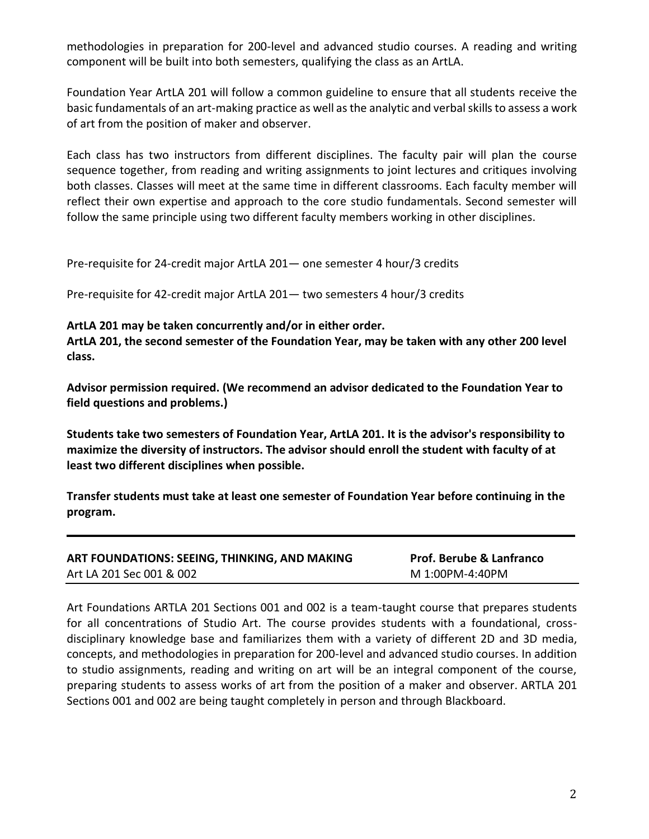methodologies in preparation for 200-level and advanced studio courses. A reading and writing component will be built into both semesters, qualifying the class as an ArtLA.

Foundation Year ArtLA 201 will follow a common guideline to ensure that all students receive the basic fundamentals of an art-making practice as well as the analytic and verbal skills to assess a work of art from the position of maker and observer.

Each class has two instructors from different disciplines. The faculty pair will plan the course sequence together, from reading and writing assignments to joint lectures and critiques involving both classes. Classes will meet at the same time in different classrooms. Each faculty member will reflect their own expertise and approach to the core studio fundamentals. Second semester will follow the same principle using two different faculty members working in other disciplines.

Pre-requisite for 24-credit major ArtLA 201— one semester 4 hour/3 credits

Pre-requisite for 42-credit major ArtLA 201— two semesters 4 hour/3 credits

# **ArtLA 201 may be taken concurrently and/or in either order.**

**ArtLA 201, the second semester of the Foundation Year, may be taken with any other 200 level class.**

**Advisor permission required. (We recommend an advisor dedicated to the Foundation Year to field questions and problems.)**

**Students take two semesters of Foundation Year, ArtLA 201. It is the advisor's responsibility to maximize the diversity of instructors. The advisor should enroll the student with faculty of at least two different disciplines when possible.**

**Transfer students must take at least one semester of Foundation Year before continuing in the program.**

| ART FOUNDATIONS: SEEING, THINKING, AND MAKING | <b>Prof. Berube &amp; Lanfranco</b> |
|-----------------------------------------------|-------------------------------------|
| Art LA 201 Sec 001 & 002                      | M 1:00PM-4:40PM                     |

Art Foundations ARTLA 201 Sections 001 and 002 is a team-taught course that prepares students for all concentrations of Studio Art. The course provides students with a foundational, crossdisciplinary knowledge base and familiarizes them with a variety of different 2D and 3D media, concepts, and methodologies in preparation for 200-level and advanced studio courses. In addition to studio assignments, reading and writing on art will be an integral component of the course, preparing students to assess works of art from the position of a maker and observer. ARTLA 201 Sections 001 and 002 are being taught completely in person and through Blackboard.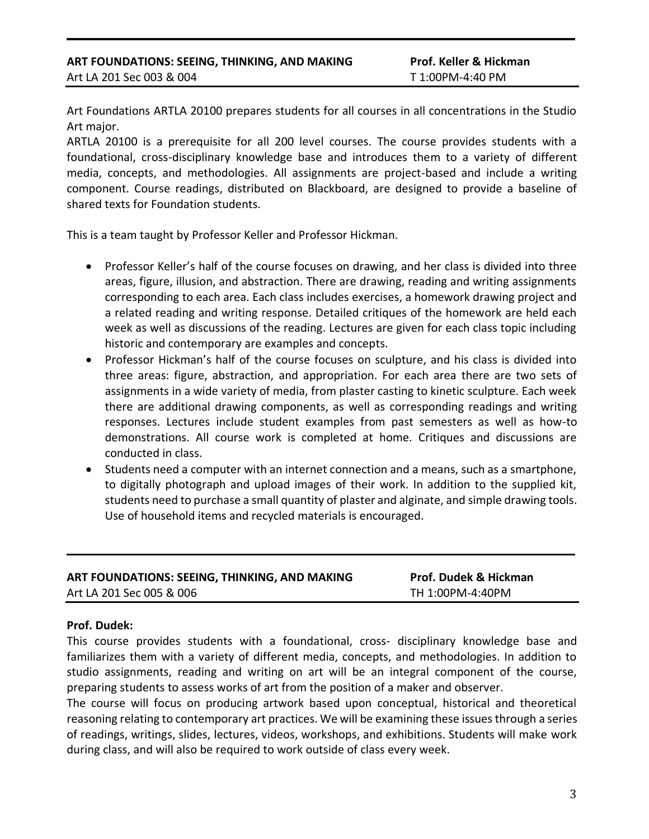#### **ART FOUNDATIONS: SEEING, THINKING, AND MAKING Prof. Keller & Hickman** Art LA 201 Sec 003 & 004 T 1:00PM-4:40 PM

Art Foundations ARTLA 20100 prepares students for all courses in all concentrations in the Studio Art major.

ARTLA 20100 is a prerequisite for all 200 level courses. The course provides students with a foundational, cross-disciplinary knowledge base and introduces them to a variety of different media, concepts, and methodologies. All assignments are project-based and include a writing component. Course readings, distributed on Blackboard, are designed to provide a baseline of shared texts for Foundation students.

This is a team taught by Professor Keller and Professor Hickman.

- Professor Keller's half of the course focuses on drawing, and her class is divided into three areas, figure, illusion, and abstraction. There are drawing, reading and writing assignments corresponding to each area. Each class includes exercises, a homework drawing project and a related reading and writing response. Detailed critiques of the homework are held each week as well as discussions of the reading. Lectures are given for each class topic including historic and contemporary are examples and concepts.
- Professor Hickman's half of the course focuses on sculpture, and his class is divided into three areas: figure, abstraction, and appropriation. For each area there are two sets of assignments in a wide variety of media, from plaster casting to kinetic sculpture. Each week there are additional drawing components, as well as corresponding readings and writing responses. Lectures include student examples from past semesters as well as how-to demonstrations. All course work is completed at home. Critiques and discussions are conducted in class.
- Students need a computer with an internet connection and a means, such as a smartphone, to digitally photograph and upload images of their work. In addition to the supplied kit, students need to purchase a small quantity of plaster and alginate, and simple drawing tools. Use of household items and recycled materials is encouraged.

| ART FOUNDATIONS: SEEING, THINKING, AND MAKING | <b>Prof. Dudek &amp; Hickman</b> |
|-----------------------------------------------|----------------------------------|
| Art LA 201 Sec 005 & 006                      | TH 1:00PM-4:40PM                 |

#### **Prof. Dudek:**

This course provides students with a foundational, cross- disciplinary knowledge base and familiarizes them with a variety of different media, concepts, and methodologies. In addition to studio assignments, reading and writing on art will be an integral component of the course, preparing students to assess works of art from the position of a maker and observer.

The course will focus on producing artwork based upon conceptual, historical and theoretical reasoning relating to contemporary art practices. We will be examining these issues through a series of readings, writings, slides, lectures, videos, workshops, and exhibitions. Students will make work during class, and will also be required to work outside of class every week.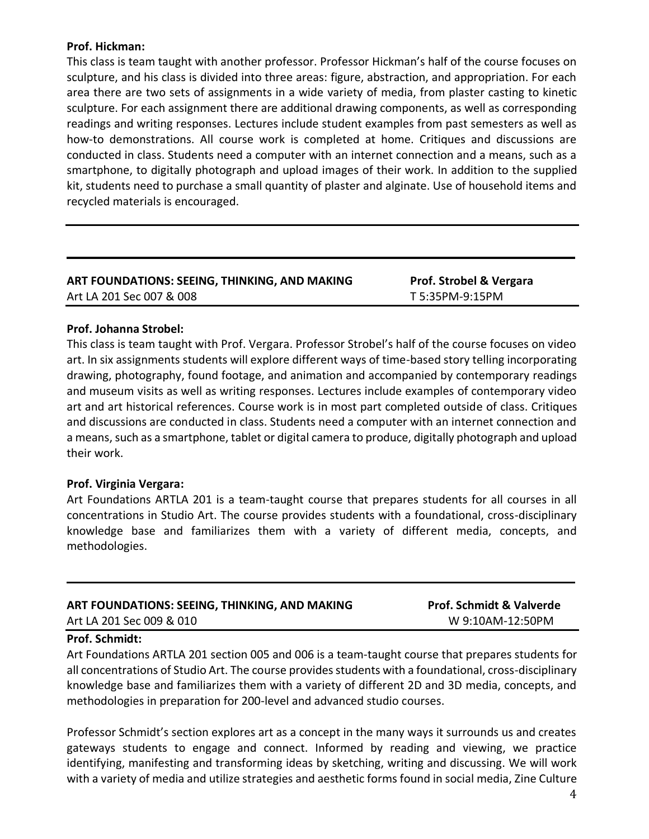# **Prof. Hickman:**

This class is team taught with another professor. Professor Hickman's half of the course focuses on sculpture, and his class is divided into three areas: figure, abstraction, and appropriation. For each area there are two sets of assignments in a wide variety of media, from plaster casting to kinetic sculpture. For each assignment there are additional drawing components, as well as corresponding readings and writing responses. Lectures include student examples from past semesters as well as how-to demonstrations. All course work is completed at home. Critiques and discussions are conducted in class. Students need a computer with an internet connection and a means, such as a smartphone, to digitally photograph and upload images of their work. In addition to the supplied kit, students need to purchase a small quantity of plaster and alginate. Use of household items and recycled materials is encouraged.

# **ART FOUNDATIONS: SEEING, THINKING, AND MAKING Prof. Strobel & Vergara** Art LA 201 Sec 007 & 008 T 5:35PM-9:15PM

# **Prof. Johanna Strobel:**

This class is team taught with Prof. Vergara. Professor Strobel's half of the course focuses on video art. In six assignments students will explore different ways of time-based story telling incorporating drawing, photography, found footage, and animation and accompanied by contemporary readings and museum visits as well as writing responses. Lectures include examples of contemporary video art and art historical references. Course work is in most part completed outside of class. Critiques and discussions are conducted in class. Students need a computer with an internet connection and a means, such as a smartphone, tablet or digital camera to produce, digitally photograph and upload their work.

#### **Prof. Virginia Vergara:**

Art Foundations ARTLA 201 is a team-taught course that prepares students for all courses in all concentrations in Studio Art. The course provides students with a foundational, cross-disciplinary knowledge base and familiarizes them with a variety of different media, concepts, and methodologies.

| ART FOUNDATIONS: SEEING, THINKING, AND MAKING | <b>Prof. Schmidt &amp; Valverde</b> |
|-----------------------------------------------|-------------------------------------|
| Art LA 201 Sec 009 & 010                      | W 9:10AM-12:50PM                    |

#### **Prof. Schmidt:**

Art Foundations ARTLA 201 section 005 and 006 is a team-taught course that prepares students for all concentrations of Studio Art. The course provides students with a foundational, cross-disciplinary knowledge base and familiarizes them with a variety of different 2D and 3D media, concepts, and methodologies in preparation for 200-level and advanced studio courses.

Professor Schmidt's section explores art as a concept in the many ways it surrounds us and creates gateways students to engage and connect. Informed by reading and viewing, we practice identifying, manifesting and transforming ideas by sketching, writing and discussing. We will work with a variety of media and utilize strategies and aesthetic forms found in social media, Zine Culture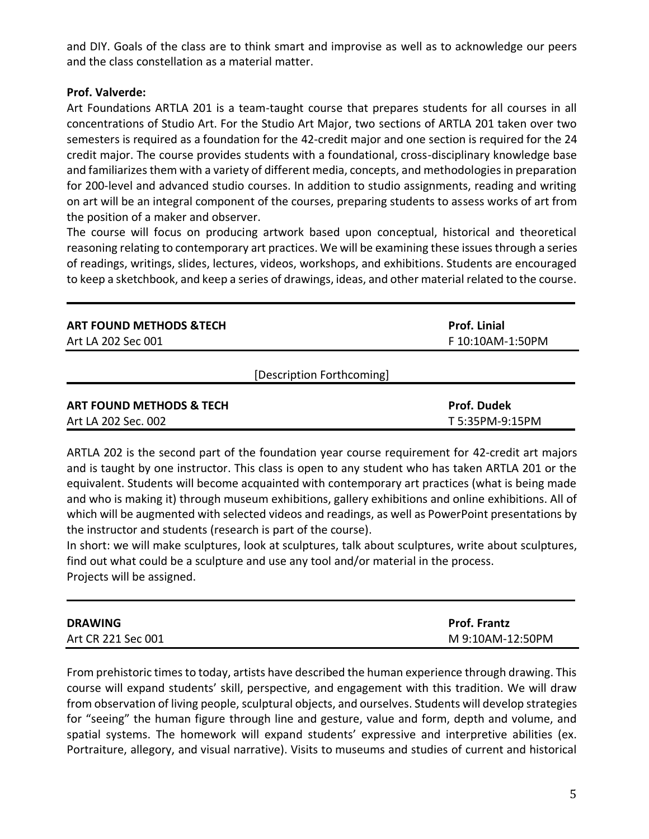and DIY. Goals of the class are to think smart and improvise as well as to acknowledge our peers and the class constellation as a material matter.

# **Prof. Valverde:**

Art Foundations ARTLA 201 is a team-taught course that prepares students for all courses in all concentrations of Studio Art. For the Studio Art Major, two sections of ARTLA 201 taken over two semesters is required as a foundation for the 42-credit major and one section is required for the 24 credit major. The course provides students with a foundational, cross-disciplinary knowledge base and familiarizes them with a variety of different media, concepts, and methodologies in preparation for 200-level and advanced studio courses. In addition to studio assignments, reading and writing on art will be an integral component of the courses, preparing students to assess works of art from the position of a maker and observer.

The course will focus on producing artwork based upon conceptual, historical and theoretical reasoning relating to contemporary art practices. We will be examining these issues through a series of readings, writings, slides, lectures, videos, workshops, and exhibitions. Students are encouraged to keep a sketchbook, and keep a series of drawings, ideas, and other material related to the course.

| <b>ART FOUND METHODS &amp;TECH</b>  | <b>Prof. Linial</b> |
|-------------------------------------|---------------------|
| Art LA 202 Sec 001                  | F 10:10AM-1:50PM    |
| [Description Forthcoming]           |                     |
| <b>ART FOUND METHODS &amp; TECH</b> | <b>Prof. Dudek</b>  |
| Art LA 202 Sec. 002                 | T 5:35PM-9:15PM     |

ARTLA 202 is the second part of the foundation year course requirement for 42-credit art majors and is taught by one instructor. This class is open to any student who has taken ARTLA 201 or the equivalent. Students will become acquainted with contemporary art practices (what is being made and who is making it) through museum exhibitions, gallery exhibitions and online exhibitions. All of which will be augmented with selected videos and readings, as well as PowerPoint presentations by the instructor and students (research is part of the course).

In short: we will make sculptures, look at sculptures, talk about sculptures, write about sculptures, find out what could be a sculpture and use any tool and/or material in the process. Projects will be assigned.

| <b>DRAWING</b>     | <b>Prof. Frantz</b> |
|--------------------|---------------------|
| Art CR 221 Sec 001 | M 9:10AM-12:50PM    |

From prehistoric times to today, artists have described the human experience through drawing. This course will expand students' skill, perspective, and engagement with this tradition. We will draw from observation of living people, sculptural objects, and ourselves. Students will develop strategies for "seeing" the human figure through line and gesture, value and form, depth and volume, and spatial systems. The homework will expand students' expressive and interpretive abilities (ex. Portraiture, allegory, and visual narrative). Visits to museums and studies of current and historical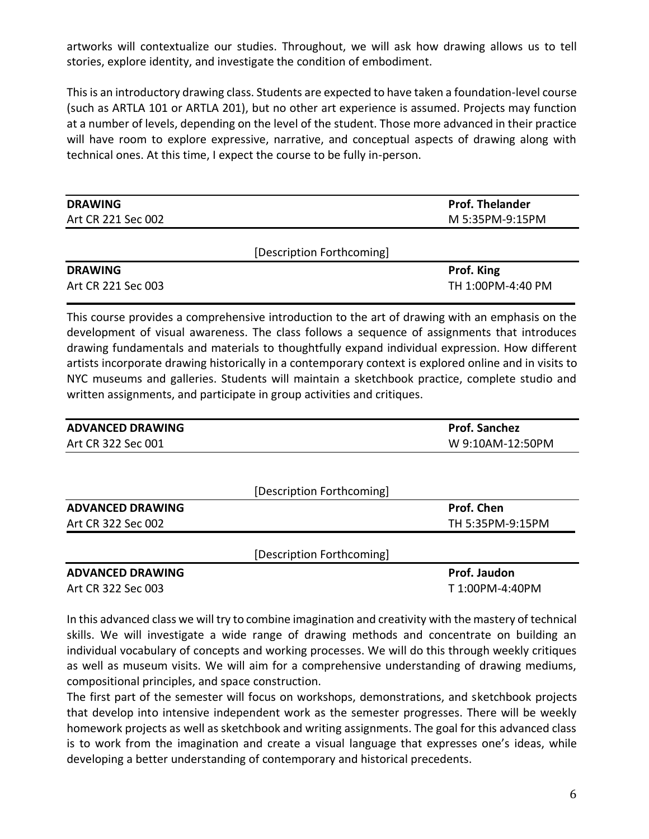artworks will contextualize our studies. Throughout, we will ask how drawing allows us to tell stories, explore identity, and investigate the condition of embodiment.

This is an introductory drawing class. Students are expected to have taken a foundation-level course (such as ARTLA 101 or ARTLA 201), but no other art experience is assumed. Projects may function at a number of levels, depending on the level of the student. Those more advanced in their practice will have room to explore expressive, narrative, and conceptual aspects of drawing along with technical ones. At this time, I expect the course to be fully in-person.

| <b>DRAWING</b>     | <b>Prof. Thelander</b>    |
|--------------------|---------------------------|
| Art CR 221 Sec 002 | M 5:35PM-9:15PM           |
|                    |                           |
|                    | [Description Forthcoming] |
|                    |                           |

| <b>DRAWING</b>     | Prof. King        |
|--------------------|-------------------|
| Art CR 221 Sec 003 | TH 1:00PM-4:40 PM |

This course provides a comprehensive introduction to the art of drawing with an emphasis on the development of visual awareness. The class follows a sequence of assignments that introduces drawing fundamentals and materials to thoughtfully expand individual expression. How different artists incorporate drawing historically in a contemporary context is explored online and in visits to NYC museums and galleries. Students will maintain a sketchbook practice, complete studio and written assignments, and participate in group activities and critiques.

| <b>ADVANCED DRAWING</b> |                           | <b>Prof. Sanchez</b> |
|-------------------------|---------------------------|----------------------|
| Art CR 322 Sec 001      |                           | W 9:10AM-12:50PM     |
|                         |                           |                      |
|                         | [Description Forthcoming] |                      |
| <b>ADVANCED DRAWING</b> |                           | Prof. Chen           |
| Art CR 322 Sec 002      |                           | TH 5:35PM-9:15PM     |
|                         | [Description Forthcoming] |                      |
| <b>ADVANCED DRAWING</b> |                           | Prof. Jaudon         |
| Art CR 322 Sec 003      |                           | T 1:00PM-4:40PM      |

In this advanced class we will try to combine imagination and creativity with the mastery of technical skills. We will investigate a wide range of drawing methods and concentrate on building an individual vocabulary of concepts and working processes. We will do this through weekly critiques as well as museum visits. We will aim for a comprehensive understanding of drawing mediums, compositional principles, and space construction.

The first part of the semester will focus on workshops, demonstrations, and sketchbook projects that develop into intensive independent work as the semester progresses. There will be weekly homework projects as well as sketchbook and writing assignments. The goal for this advanced class is to work from the imagination and create a visual language that expresses one's ideas, while developing a better understanding of contemporary and historical precedents.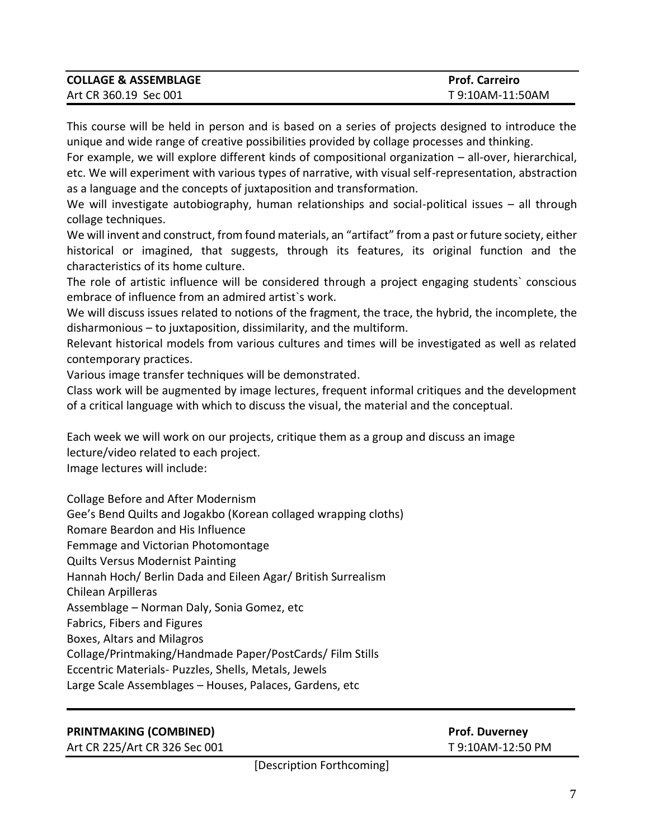| <b>COLLAGE &amp; ASSEMBLAGE</b> | <b>Prof. Carreiro</b> |
|---------------------------------|-----------------------|
| Art CR 360.19 Sec 001           | T 9:10AM-11:50AM      |

This course will be held in person and is based on a series of projects designed to introduce the unique and wide range of creative possibilities provided by collage processes and thinking.

For example, we will explore different kinds of compositional organization – all-over, hierarchical, etc. We will experiment with various types of narrative, with visual self-representation, abstraction as a language and the concepts of juxtaposition and transformation.

We will investigate autobiography, human relationships and social-political issues – all through collage techniques.

We will invent and construct, from found materials, an "artifact" from a past or future society, either historical or imagined, that suggests, through its features, its original function and the characteristics of its home culture.

The role of artistic influence will be considered through a project engaging students` conscious embrace of influence from an admired artist`s work.

We will discuss issues related to notions of the fragment, the trace, the hybrid, the incomplete, the disharmonious – to juxtaposition, dissimilarity, and the multiform.

Relevant historical models from various cultures and times will be investigated as well as related contemporary practices.

Various image transfer techniques will be demonstrated.

Class work will be augmented by image lectures, frequent informal critiques and the development of a critical language with which to discuss the visual, the material and the conceptual.

Each week we will work on our projects, critique them as a group and discuss an image lecture/video related to each project. Image lectures will include:

Collage Before and After Modernism Gee's Bend Quilts and Jogakbo (Korean collaged wrapping cloths) Romare Beardon and His Influence Femmage and Victorian Photomontage Quilts Versus Modernist Painting Hannah Hoch/ Berlin Dada and Eileen Agar/ British Surrealism Chilean Arpilleras Assemblage – Norman Daly, Sonia Gomez, etc Fabrics, Fibers and Figures Boxes, Altars and Milagros Collage/Printmaking/Handmade Paper/PostCards/ Film Stills Eccentric Materials- Puzzles, Shells, Metals, Jewels Large Scale Assemblages – Houses, Palaces, Gardens, etc

# **PRINTMAKING (COMBINED) Prof. Duverney**

Art CR 225/Art CR 326 Sec 001 T 9:10AM-12:50 PM

[Description Forthcoming]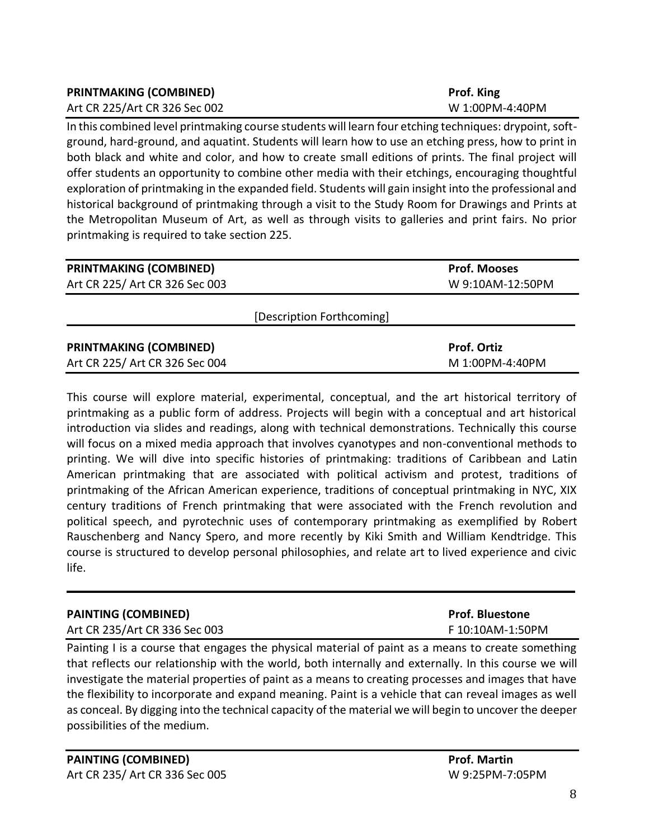| <b>PRINTMAKING (COMBINED)</b> | Prof. King      |
|-------------------------------|-----------------|
| Art CR 225/Art CR 326 Sec 002 | W 1:00PM-4:40PM |

In this combined level printmaking course students will learn four etching techniques: drypoint, softground, hard-ground, and aquatint. Students will learn how to use an etching press, how to print in both black and white and color, and how to create small editions of prints. The final project will offer students an opportunity to combine other media with their etchings, encouraging thoughtful exploration of printmaking in the expanded field. Students will gain insight into the professional and historical background of printmaking through a visit to the Study Room for Drawings and Prints at the Metropolitan Museum of Art, as well as through visits to galleries and print fairs. No prior printmaking is required to take section 225.

| <b>PRINTMAKING (COMBINED)</b>  | <b>Prof. Mooses</b> |
|--------------------------------|---------------------|
| Art CR 225/ Art CR 326 Sec 003 | W 9:10AM-12:50PM    |
|                                |                     |
| [Description Forthcoming]      |                     |
|                                |                     |
| <b>PRINTMAKING (COMBINED)</b>  | <b>Prof. Ortiz</b>  |
| Art CR 225/ Art CR 326 Sec 004 | M 1:00PM-4:40PM     |

This course will explore material, experimental, conceptual, and the art historical territory of printmaking as a public form of address. Projects will begin with a conceptual and art historical introduction via slides and readings, along with technical demonstrations. Technically this course will focus on a mixed media approach that involves cyanotypes and non-conventional methods to printing. We will dive into specific histories of printmaking: traditions of Caribbean and Latin American printmaking that are associated with political activism and protest, traditions of printmaking of the African American experience, traditions of conceptual printmaking in NYC, XIX century traditions of French printmaking that were associated with the French revolution and political speech, and pyrotechnic uses of contemporary printmaking as exemplified by Robert Rauschenberg and Nancy Spero, and more recently by Kiki Smith and William Kendtridge. This course is structured to develop personal philosophies, and relate art to lived experience and civic life.

| <b>PAINTING (COMBINED)</b>    | <b>Prof. Bluestone</b> |
|-------------------------------|------------------------|
| Art CR 235/Art CR 336 Sec 003 | F 10:10AM-1:50PM       |

Painting I is a course that engages the physical material of paint as a means to create something that reflects our relationship with the world, both internally and externally. In this course we will investigate the material properties of paint as a means to creating processes and images that have the flexibility to incorporate and expand meaning. Paint is a vehicle that can reveal images as well as conceal. By digging into the technical capacity of the material we will begin to uncover the deeper possibilities of the medium.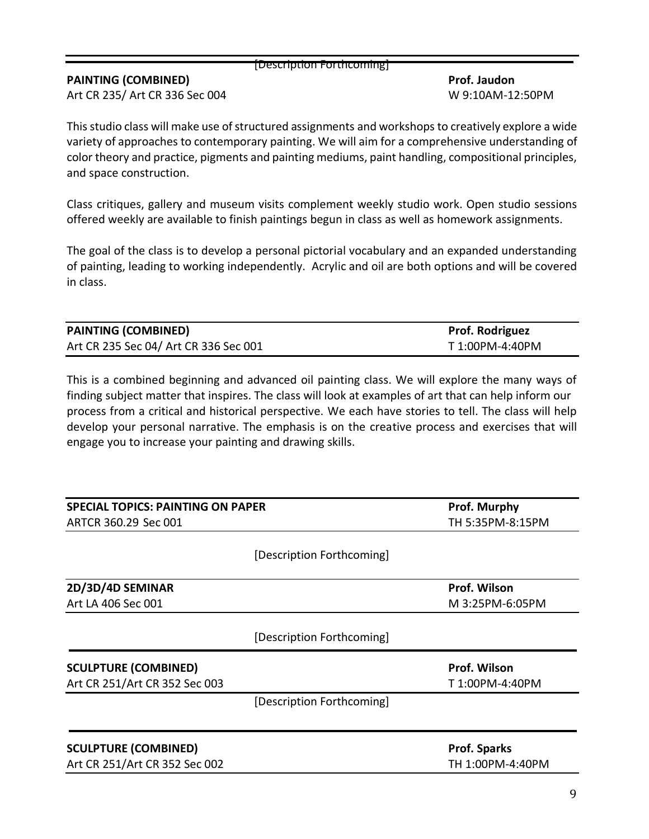#### [Description Forthcoming]

# **PAINTING (COMBINED) Prof. Jaudon**

Art CR 235/ Art CR 336 Sec 004 W 9:10AM-12:50PM

This studio class will make use of structured assignments and workshops to creatively explore a wide variety of approaches to contemporary painting. We will aim for a comprehensive understanding of color theory and practice, pigments and painting mediums, paint handling, compositional principles, and space construction.

Class critiques, gallery and museum visits complement weekly studio work. Open studio sessions offered weekly are available to finish paintings begun in class as well as homework assignments.

The goal of the class is to develop a personal pictorial vocabulary and an expanded understanding of painting, leading to working independently. Acrylic and oil are both options and will be covered in class.

| <b>PAINTING (COMBINED)</b>            | <b>Prof. Rodriguez</b> |
|---------------------------------------|------------------------|
| Art CR 235 Sec 04/ Art CR 336 Sec 001 | T 1:00PM-4:40PM        |

This is a combined beginning and advanced oil painting class. We will explore the many ways of finding subject matter that inspires. The class will look at examples of art that can help inform our process from a critical and historical perspective. We each have stories to tell. The class will help develop your personal narrative. The emphasis is on the creative process and exercises that will engage you to increase your painting and drawing skills.

| <b>SPECIAL TOPICS: PAINTING ON PAPER</b>                     |                           | Prof. Murphy                    |
|--------------------------------------------------------------|---------------------------|---------------------------------|
| ARTCR 360.29 Sec 001                                         |                           | TH 5:35PM-8:15PM                |
|                                                              | [Description Forthcoming] |                                 |
| 2D/3D/4D SEMINAR                                             |                           | Prof. Wilson                    |
| Art LA 406 Sec 001                                           |                           | M 3:25PM-6:05PM                 |
|                                                              | [Description Forthcoming] |                                 |
| <b>SCULPTURE (COMBINED)</b><br>Art CR 251/Art CR 352 Sec 003 |                           | Prof. Wilson<br>T 1:00PM-4:40PM |
|                                                              | [Description Forthcoming] |                                 |
| <b>SCULPTURE (COMBINED)</b>                                  |                           | <b>Prof. Sparks</b>             |
| Art CR 251/Art CR 352 Sec 002                                |                           | TH 1:00PM-4:40PM                |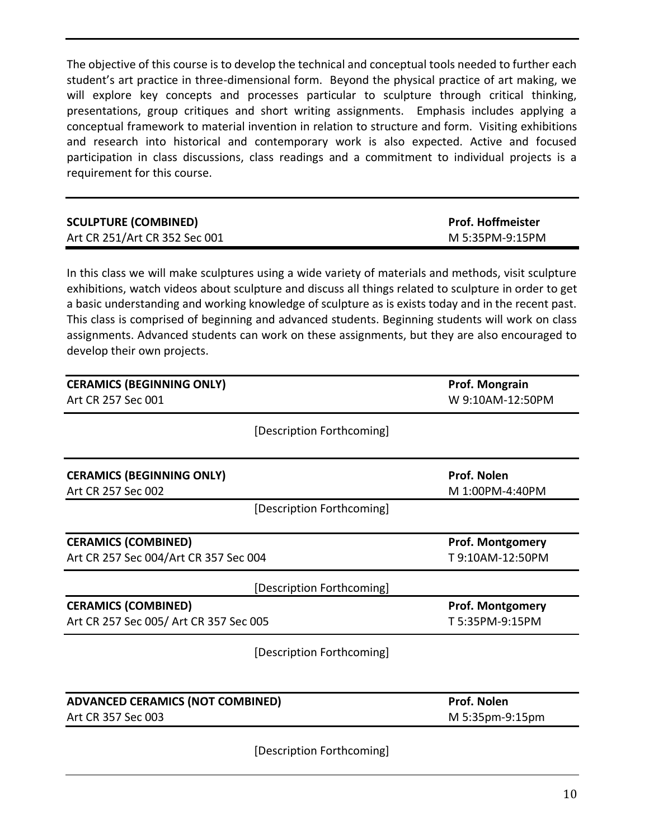The objective of this course is to develop the technical and conceptual tools needed to further each student's art practice in three-dimensional form. Beyond the physical practice of art making, we will explore key concepts and processes particular to sculpture through critical thinking, presentations, group critiques and short writing assignments. Emphasis includes applying a conceptual framework to material invention in relation to structure and form. Visiting exhibitions and research into historical and contemporary work is also expected. Active and focused participation in class discussions, class readings and a commitment to individual projects is a requirement for this course.

| <b>SCULPTURE (COMBINED)</b>   | <b>Prof. Hoffmeister</b> |
|-------------------------------|--------------------------|
| Art CR 251/Art CR 352 Sec 001 | M 5:35PM-9:15PM          |

In this class we will make sculptures using a wide variety of materials and methods, visit sculpture exhibitions, watch videos about sculpture and discuss all things related to sculpture in order to get a basic understanding and working knowledge of sculpture as is exists today and in the recent past. This class is comprised of beginning and advanced students. Beginning students will work on class assignments. Advanced students can work on these assignments, but they are also encouraged to develop their own projects.

| <b>CERAMICS (BEGINNING ONLY)</b>                       | Prof. Mongrain                 |
|--------------------------------------------------------|--------------------------------|
| Art CR 257 Sec 001                                     | W 9:10AM-12:50PM               |
| [Description Forthcoming]                              |                                |
| <b>CERAMICS (BEGINNING ONLY)</b><br>Art CR 257 Sec 002 | Prof. Nolen<br>M 1:00PM-4:40PM |
| [Description Forthcoming]                              |                                |
| <b>CERAMICS (COMBINED)</b>                             | <b>Prof. Montgomery</b>        |
| Art CR 257 Sec 004/Art CR 357 Sec 004                  | T9:10AM-12:50PM                |
| [Description Forthcoming]                              |                                |
| <b>CERAMICS (COMBINED)</b>                             | <b>Prof. Montgomery</b>        |
| Art CR 257 Sec 005/ Art CR 357 Sec 005                 | T 5:35PM-9:15PM                |
| [Description Forthcoming]                              |                                |
|                                                        | Prof. Nolen                    |
| <b>ADVANCED CERAMICS (NOT COMBINED)</b>                | M 5:35pm-9:15pm                |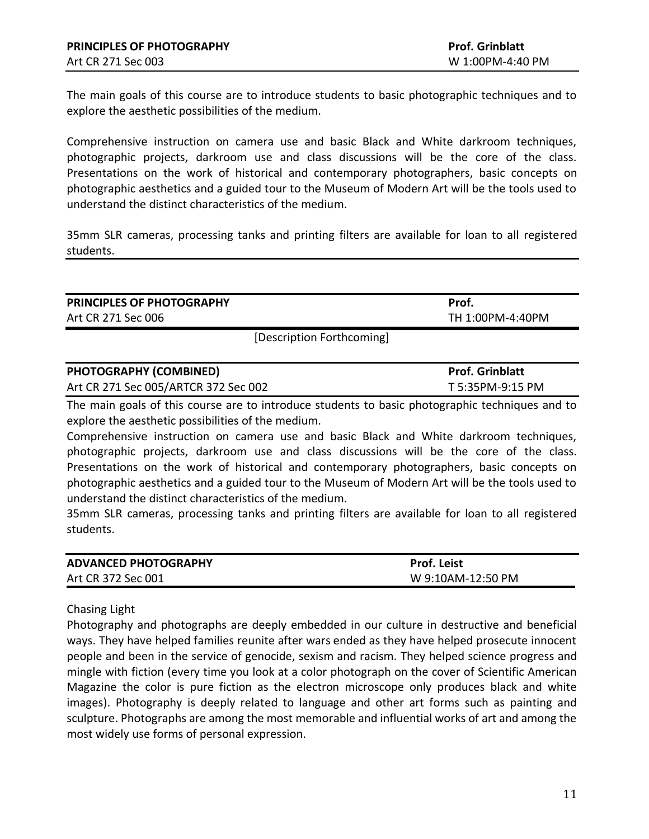The main goals of this course are to introduce students to basic photographic techniques and to explore the aesthetic possibilities of the medium.

Comprehensive instruction on camera use and basic Black and White darkroom techniques, photographic projects, darkroom use and class discussions will be the core of the class. Presentations on the work of historical and contemporary photographers, basic concepts on photographic aesthetics and a guided tour to the Museum of Modern Art will be the tools used to understand the distinct characteristics of the medium.

35mm SLR cameras, processing tanks and printing filters are available for loan to all registered students.

| PRINCIPLES OF PHOTOGRAPHY                                                                                                                             | Prof.                  |
|-------------------------------------------------------------------------------------------------------------------------------------------------------|------------------------|
| Art CR 271 Sec 006                                                                                                                                    | TH 1:00PM-4:40PM       |
| [Description Forthcoming]                                                                                                                             |                        |
| <b>PHOTOGRAPHY (COMBINED)</b>                                                                                                                         | <b>Prof. Grinblatt</b> |
| Art CR 271 Sec 005/ARTCR 372 Sec 002                                                                                                                  | T 5:35PM-9:15 PM       |
| The main goals of this course are to introduce students to basic photographic techniques and to<br>explore the aesthetic possibilities of the medium. |                        |

Comprehensive instruction on camera use and basic Black and White darkroom techniques, photographic projects, darkroom use and class discussions will be the core of the class. Presentations on the work of historical and contemporary photographers, basic concepts on photographic aesthetics and a guided tour to the Museum of Modern Art will be the tools used to understand the distinct characteristics of the medium.

35mm SLR cameras, processing tanks and printing filters are available for loan to all registered students.

| <b>ADVANCED PHOTOGRAPHY</b> | <b>Prof. Leist</b> |
|-----------------------------|--------------------|
| Art CR 372 Sec 001          | W 9:10AM-12:50 PM  |

#### Chasing Light

Photography and photographs are deeply embedded in our culture in destructive and beneficial ways. They have helped families reunite after wars ended as they have helped prosecute innocent people and been in the service of genocide, sexism and racism. They helped science progress and mingle with fiction (every time you look at a color photograph on the cover of Scientific American Magazine the color is pure fiction as the electron microscope only produces black and white images). Photography is deeply related to language and other art forms such as painting and sculpture. Photographs are among the most memorable and influential works of art and among the most widely use forms of personal expression.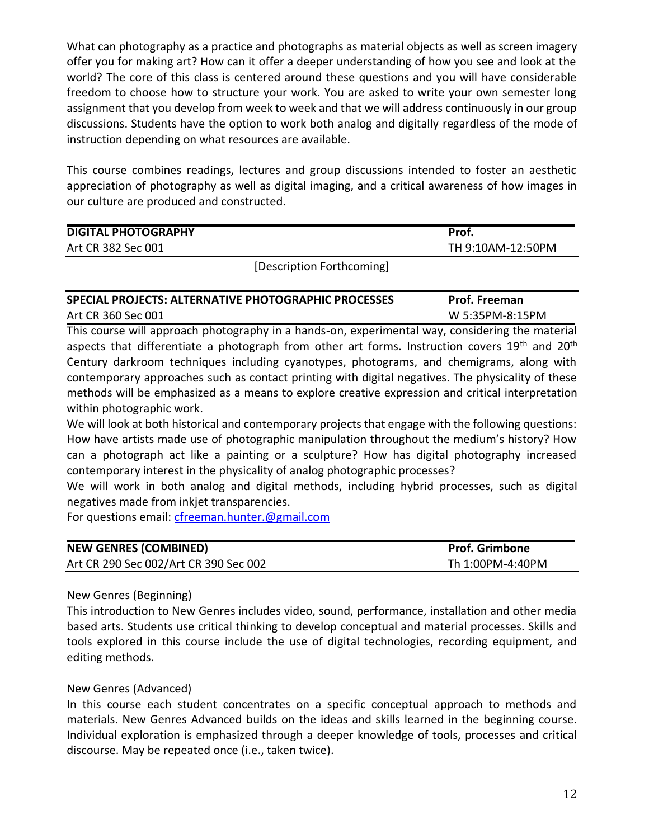What can photography as a practice and photographs as material objects as well as screen imagery offer you for making art? How can it offer a deeper understanding of how you see and look at the world? The core of this class is centered around these questions and you will have considerable freedom to choose how to structure your work. You are asked to write your own semester long assignment that you develop from week to week and that we will address continuously in our group discussions. Students have the option to work both analog and digitally regardless of the mode of instruction depending on what resources are available.

This course combines readings, lectures and group discussions intended to foster an aesthetic appreciation of photography as well as digital imaging, and a critical awareness of how images in our culture are produced and constructed.

| TH 9:10AM-12:50PM<br>Art CR 382 Sec 001 | <b>DIGITAL PHOTOGRAPHY</b> | Prof. |
|-----------------------------------------|----------------------------|-------|
|                                         |                            |       |

[Description Forthcoming]

# **SPECIAL PROJECTS: ALTERNATIVE PHOTOGRAPHIC PROCESSES Prof. Freeman** Art CR 360 Sec 001 W 5:35PM-8:15PM

This course will approach photography in a hands-on, experimental way, considering the material aspects that differentiate a photograph from other art forms. Instruction covers  $19<sup>th</sup>$  and  $20<sup>th</sup>$ Century darkroom techniques including cyanotypes, photograms, and chemigrams, along with contemporary approaches such as contact printing with digital negatives. The physicality of these methods will be emphasized as a means to explore creative expression and critical interpretation within photographic work.

We will look at both historical and contemporary projects that engage with the following questions: How have artists made use of photographic manipulation throughout the medium's history? How can a photograph act like a painting or a sculpture? How has digital photography increased contemporary interest in the physicality of analog photographic processes?

We will work in both analog and digital methods, including hybrid processes, such as digital negatives made from inkjet transparencies.

For questions email: [cfreeman.hunter.@gmail.com](mailto:cfreeman.hunter.@gmail.com)

| <b>NEW GENRES (COMBINED)</b>          | <b>Prof. Grimbone</b> |
|---------------------------------------|-----------------------|
| Art CR 290 Sec 002/Art CR 390 Sec 002 | Th 1:00PM-4:40PM      |

# New Genres (Beginning)

This introduction to New Genres includes video, sound, performance, installation and other media based arts. Students use critical thinking to develop conceptual and material processes. Skills and tools explored in this course include the use of digital technologies, recording equipment, and editing methods.

# New Genres (Advanced)

In this course each student concentrates on a specific conceptual approach to methods and materials. New Genres Advanced builds on the ideas and skills learned in the beginning course. Individual exploration is emphasized through a deeper knowledge of tools, processes and critical discourse. May be repeated once (i.e., taken twice).